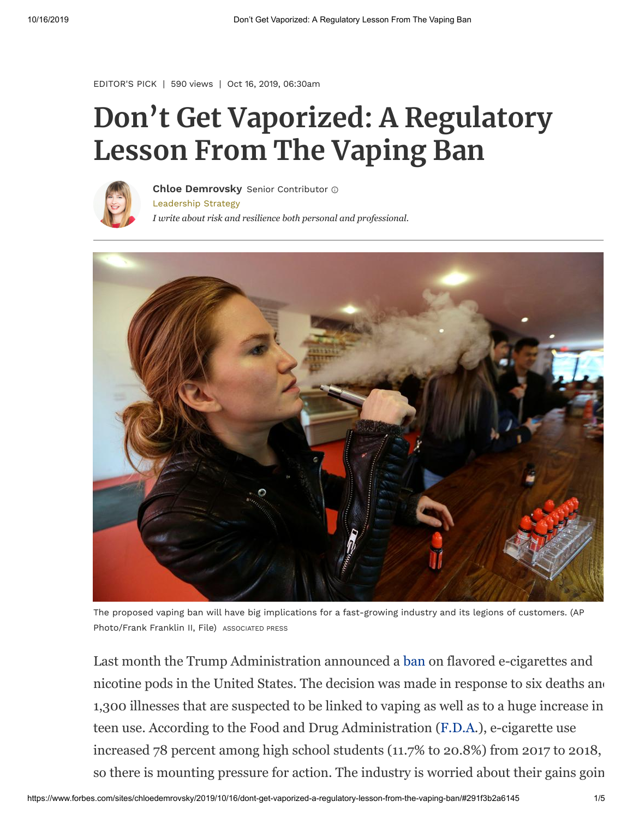[EDITOR'S PICK](https://www.forbes.com/editors-picks) | 590 views | Oct 16, 2019, 06:30am

## **Don't Get Vaporized: A Regulatory Lesson From The Vaping Ban**



[Leadership Strategy](https://www.forbes.com/leadership-strategy) *I write about risk and resilience both personal and professional.* **[Chloe Demrovsky](https://www.forbes.com/sites/chloedemrovsky/)** Senior Contributor



The proposed vaping ban will have big implications for a fast-growing industry and its legions of customers. (AP Photo/Frank Franklin II, File) ASSOCIATED PRESS

Last month the Trump Administration announced a [ban](https://www.nytimes.com/2019/09/11/health/trump-vaping.html?module=inline) on flavored e-cigarettes and nicotine pods in the United States. The decision was made in response to six deaths and 1,300 illnesses that are suspected to be linked to vaping as well as to a huge increase in teen use. According to the Food and Drug Administration ([F.D.A](https://www.fda.gov/tobacco-products/products-ingredients-components/vaporizers-e-cigarettes-and-other-electronic-nicotine-delivery-systems-ends#references).), e-cigarette use increased 78 percent among high school students (11.7% to 20.8%) from 2017 to 2018, so there is mounting pressure for action. The industry is worried about their gains goin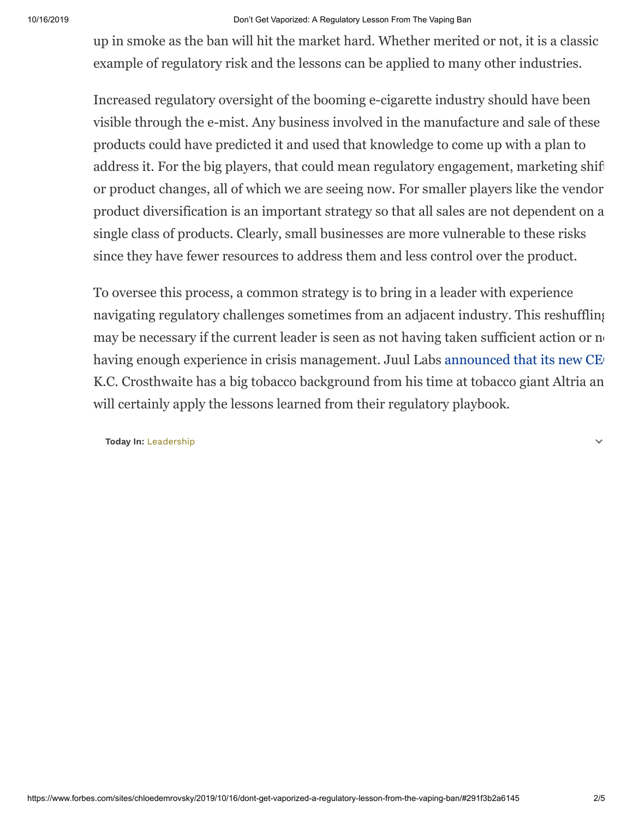## 10/16/2019 Don't Get Vaporized: A Regulatory Lesson From The Vaping Ban

up in smoke as the ban will hit the market hard. Whether merited or not, it is a classic example of regulatory risk and the lessons can be applied to many other industries.

Increased regulatory oversight of the booming e-cigarette industry should have been visible through the e-mist. Any business involved in the manufacture and sale of these products could have predicted it and used that knowledge to come up with a plan to address it. For the big players, that could mean regulatory engagement, marketing shift or product changes, all of which we are seeing now. For smaller players like the vendor product diversification is an important strategy so that all sales are not dependent on a single class of products. Clearly, small businesses are more vulnerable to these risks since they have fewer resources to address them and less control over the product.

To oversee this process, a common strategy is to bring in a leader with experience navigating regulatory challenges sometimes from an adjacent industry. This reshuffling may be necessary if the current leader is seen as not having taken sufficient action or no having enough experience in crisis management. Juul Labs announced that its new CE K.C. Crosthwaite has a big tobacco background from his time at tobacco giant Altria an will certainly apply the lessons learned from their regulatory playbook.

**Today In:** [Leadership](https://www.forbes.com/leadership-strategy)

 $\checkmark$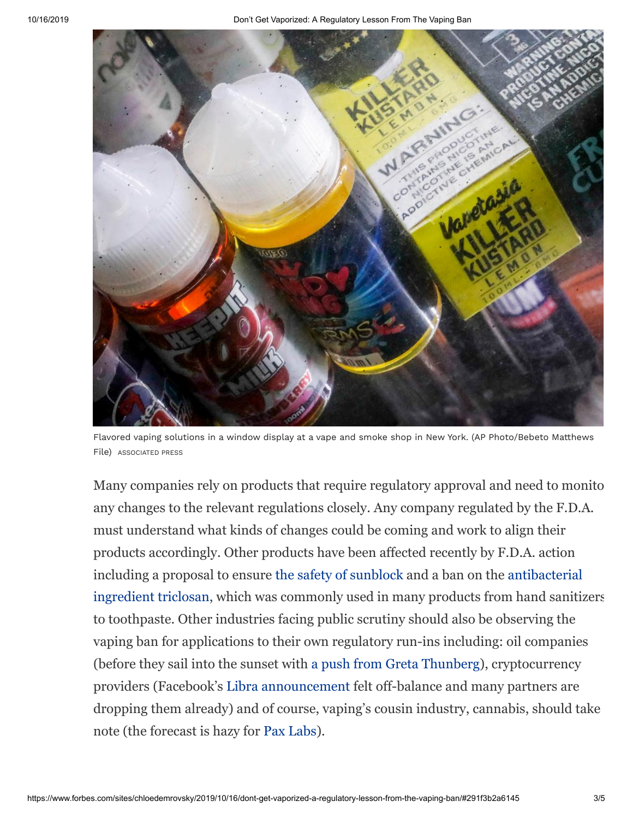

Flavored vaping solutions in a window display at a vape and smoke shop in New York. (AP Photo/Bebeto Matthews File) ASSOCIATED PRESS

Many companies rely on products that require regulatory approval and need to monito any changes to the relevant regulations closely. Any company regulated by the F.D.A. must understand what kinds of changes could be coming and work to align their products accordingly. Other products have been affected recently by F.D.A. action including a proposal to ensure [the safety of sunblock](https://www.fda.gov/news-events/press-announcements/fda-advances-new-proposed-regulation-make-sure-sunscreens-are-safe-and-effective) and a ban on the antibacterial [ingredient triclosan, which was commonly used in many products from hand sanitiz](https://www.fda.gov/news-events/press-announcements/fda-issues-final-rule-safety-and-effectiveness-consumer-hand-sanitizers)ers to toothpaste. Other industries facing public scrutiny should also be observing the vaping ban for applications to their own regulatory run-ins including: oil companies (before they sail into the sunset with [a push from Greta Thunberg\)](https://www.bbc.com/news/uk-scotland-scotland-business-48505692), cryptocurrency providers (Facebook's [Libra announcement](https://www.businessinsider.com/facebook-progress-libra-overshadowed-quarter-dropping-out-2019-10) felt off-balance and many partners are dropping them already) and of course, vaping's cousin industry, cannabis, should take note (the forecast is hazy for [Pax Labs](https://www.usatoday.com/story/money/2019/10/14/thc-vaping-crisis-juul-labs-pax-labs-marijuana/3920362002/)).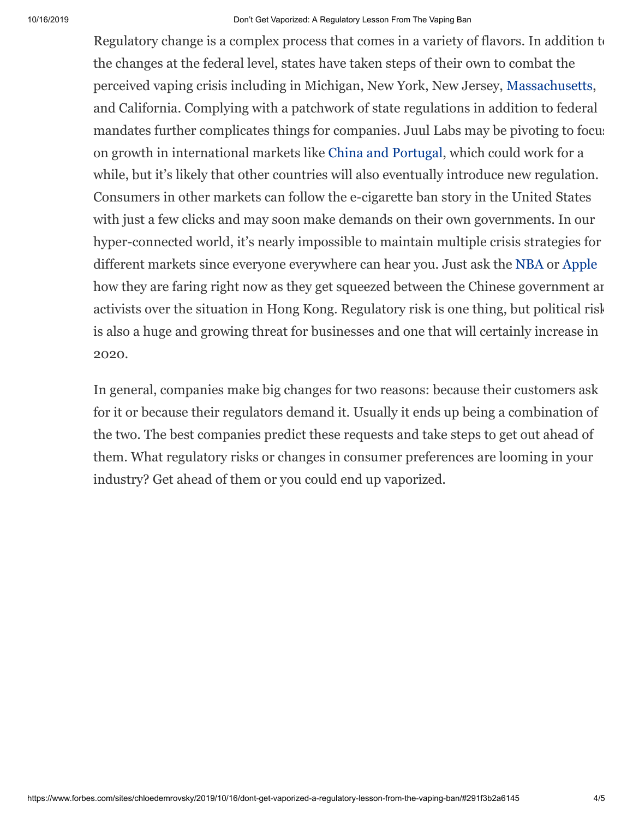Regulatory change is a complex process that comes in a variety of flavors. In addition to the changes at the federal level, states have taken steps of their own to combat the perceived vaping crisis including in Michigan, New York, New Jersey, [Massachusetts](https://www.wbur.org/bostonomix/2019/09/25/massachusetts-vaping-ban-businesses), and California. Complying with a patchwork of state regulations in addition to federal mandates further complicates things for companies. Juul Labs may be pivoting to focus on growth in international markets like [China and Portugal,](https://www.nytimes.com/2019/09/12/health/vaping-juul.html) which could work for a while, but it's likely that other countries will also eventually introduce new regulation. Consumers in other markets can follow the e-cigarette ban story in the United States with just a few clicks and may soon make demands on their own governments. In our hyper-connected world, it's nearly impossible to maintain multiple crisis strategies for different markets since everyone everywhere can hear you. Just ask the [NBA](https://www.scmp.com/news/china/society/article/3032164/nba-damage-control-mode-adam-silver-lands-china-hong-kong) or [Apple](https://www.nytimes.com/2019/10/09/technology/apple-hong-kong-app.html) how they are faring right now as they get squeezed between the Chinese government an activists over the situation in Hong Kong. Regulatory risk is one thing, but political risk is also a huge and growing threat for businesses and one that will certainly increase in 2020.

In general, companies make big changes for two reasons: because their customers ask for it or because their regulators demand it. Usually it ends up being a combination of the two. The best companies predict these requests and take steps to get out ahead of them. What regulatory risks or changes in consumer preferences are looming in your industry? Get ahead of them or you could end up vaporized.